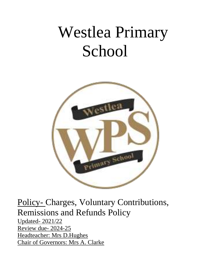# Westlea Primary School



Policy- Charges, Voluntary Contributions, Remissions and Refunds Policy

Updated- 2021/22 Review due- 2024-25 Headteacher: Mrs D.Hughes Chair of Governors: Mrs A. Clarke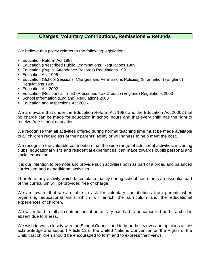# **Charges, Voluntary Contributions, Remissions & Refunds**

We believe this policy relates to the following legislation:

- Education Reform Act 1988
- Education (Prescribed Public Examinations) Regulations 1989
- Education (Pupils' Attendance Records) Regulations 1991
- Education Act 1996
- **Education (School Sessions, Charges and Permissions Policies) (Information) (England)** Regulations 1999
- Education Act 2002
- Education (Residential Trips) (Prescribed Tax Credits) (England) Regulations 2003
- School Information (England) Regulations 2008
- **Education and Inspections Act 2006**

We are aware that under the Education Reform Act 1988 and the Education Act 20002 that no charge can be made for education in school hours and that every child has the right to receive free school education.

We recognise that all activities offered during normal teaching time must be made available to all children regardless of their parents' ability or willingness to help meet the cost.

We recognise the valuable contribution that the wide range of additional activities, including clubs, educational visits and residential experiences, can make towards pupils personal and social education.

It is our intention to promote and provide such activities both as part of a broad and balanced curriculum and as additional activities.

Therefore, any activity which takes place mainly during school hours or is an essential part of the curriculum will be provided free of charge.

We are aware that we are able to ask for voluntary contributions from parents when organising educational visits which will enrich the curriculum and the educational experiences of children.

We will refund in full all contributions if an activity has had to be cancelled and if a child is absent due to illness.

We wish to work closely with the School Council and to hear their views and opinions as we acknowledge and support Article 12 of the United Nations Convention on the Rights of the Child that children should be encouraged to form and to express their views.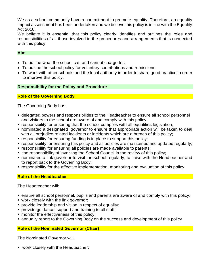We as a school community have a commitment to promote equality. Therefore, an equality impact assessment has been undertaken and we believe this policy is in line with the Equality Act 2010.

We believe it is essential that this policy clearly identifies and outlines the roles and responsibilities of all those involved in the procedures and arrangements that is connected with this policy.

#### **Aim**

- To outline what the school can and cannot charge for.
- To outline the school policy for voluntary contributions and remissions.
- To work with other schools and the local authority in order to share good practice in order to improve this policy.

### **Responsibility for the Policy and Procedure**

# **Role of the Governing Body**

The Governing Body has:

- **delegated powers and responsibilities to the Headteacher to ensure all school personnel** and visitors to the school are aware of and comply with this policy;
- responsibility for ensuring that the school complies with all equalities legislation;
- nominated a designated governor to ensure that appropriate action will be taken to deal with all prejudice related incidents or incidents which are a breach of this policy;
- **responsibility for ensuring funding is in place to support this policy;**
- responsibility for ensuring this policy and all policies are maintained and updated regularly;
- **EX EXEDER** responsibility for ensuring all policies are made available to parents;
- the responsibility of involving the School Council in the review of this policy;
- nominated a link governor to visit the school regularly, to liaise with the Headteacher and to report back to the Governing Body;
- **EX FESPONSIBILY for the effective implementation, monitoring and evaluation of this policy**

# **Role of the Headteacher**

The Headteacher will:

- ensure all school personnel, pupils and parents are aware of and comply with this policy;
- work closely with the link governor;
- **provide leadership and vision in respect of equality;**
- **provide quidance, support and training to all staff;**
- **monitor the effectiveness of this policy;**
- annually report to the Governing Body on the success and development of this policy

#### **Role of the Nominated Governor (Chair)**

The Nominated Governor will:

■ work closely with the Headteacher;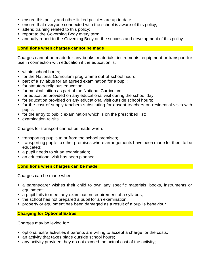- ensure this policy and other linked policies are up to date;
- ensure that everyone connected with the school is aware of this policy;
- **E** attend training related to this policy;
- **report to the Governing Body every term;**
- **E** annually report to the Governing Body on the success and development of this policy

#### **Conditions when charges cannot be made**

Charges cannot be made for any books, materials, instruments, equipment or transport for use in connection with education if the education is:

- within school hours;
- for the National Curriculum programme out-of-school hours;
- part of a syllabus for an agreed examination for a pupil;
- for statutory religious education;
- for musical tuition as part of the National Curriculum;
- for education provided on any educational visit during the school day;
- for education provided on any educational visit outside school hours;
- for the cost of supply teachers substituting for absent teachers on residential visits with pupils;
- for the entry to public examination which is on the prescribed list;
- examination re-sits

Charges for transport cannot be made when:

- transporting pupils to or from the school premises;
- **.** transporting pupils to other premises where arrangements have been made for them to be educated;
- a pupil needs to sit an examination;
- an educational visit has been planned

#### **Conditions when charges can be made**

Charges can be made when:

- **•** a parent/carer wishes their child to own any specific materials, books, instruments or equipment;
- a pupil fails to meet any examination requirement of a syllabus;
- the school has not prepared a pupil for an examination;
- property or equipment has been damaged as a result of a pupil's behaviour

#### **Charging for Optional Extras**

Charges may be levied for:

- optional extra activities if parents are willing to accept a charge for the costs;
- an activity that takes place outside school hours;
- any activity provided they do not exceed the actual cost of the activity;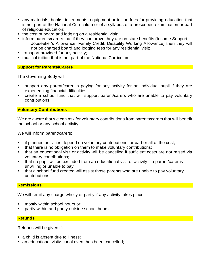- any materials, books, instruments, equipment or tuition fees for providing education that is not part of the National Curriculum or of a syllabus of a prescribed examination or part of religious education;
- the cost of board and lodging on a residential visit;
- inform parents/carers that if they can prove they are on state benefits (Income Support, Jobseeker's Allowance, Family Credit, Disability Working Allowance) then they will not be charged board and lodging fees for any residential visit;
- **•** transport provided for any activity:
- musical tuition that is not part of the National Curriculum

#### **Support for Parents/Carers**

The Governing Body will:

- support any parent/carer in paying for any activity for an individual pupil if they are experiencing financial difficulties;
- create a school fund that will support parent/carers who are unable to pay voluntary contributions

### **Voluntary Contributions**

We are aware that we can ask for voluntary contributions from parents/carers that will benefit the school or any school activity.

We will inform parent/carers:

- if planned activities depend on voluntary contributions for part or all of the cost;
- that there is no obligation on them to make voluntary contributions;
- that an educational visit or activity will be cancelled if sufficient costs are not raised via voluntary contributions;
- that no pupil will be excluded from an educational visit or activity if a parent/carer is unwilling or unable to pay;
- that a school fund created will assist those parents who are unable to pay voluntary contributions

# **Remissions**

We will remit any charge wholly or partly if any activity takes place:

- mostly within school hours or;
- partly within and partly outside school hours

#### **Refunds**

Refunds will be given if:

- a child is absent due to illness;
- an educational visit/school event has been cancelled: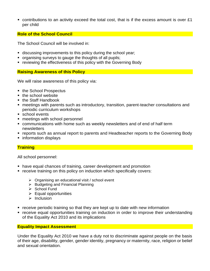■ contributions to an activity exceed the total cost, that is if the excess amount is over £1 per child

## **Role of the School Council**

The School Council will be involved in:

- discussing improvements to this policy during the school year;
- organising surveys to gauge the thoughts of all pupils;
- reviewing the effectiveness of this policy with the Governing Body

#### **Raising Awareness of this Policy**

We will raise awareness of this policy via:

- the School Prospectus
- the school website
- the Staff Handbook
- meetings with parents such as introductory, transition, parent-teacher consultations and periodic curriculum workshops
- school events
- meetings with school personnel
- communications with home such as weekly newsletters and of end of half term newsletters
- reports such as annual report to parents and Headteacher reports to the Governing Body
- information displays

#### **Training**

All school personnel:

- have equal chances of training, career development and promotion
- receive training on this policy on induction which specifically covers:
	- ➢ Organising an educational visit / school event
	- ➢ Budgeting and Financial Planning
	- ➢ School Fund
	- $\triangleright$  Equal opportunities
	- ➢ Inclusion
- receive periodic training so that they are kept up to date with new information
- receive equal opportunities training on induction in order to improve their understanding of the Equality Act 2010 and its implications

#### **Equality Impact Assessment**

Under the Equality Act 2010 we have a duty not to discriminate against people on the basis of their age, disability, gender, gender identity, pregnancy or maternity, race, religion or belief and sexual orientation.